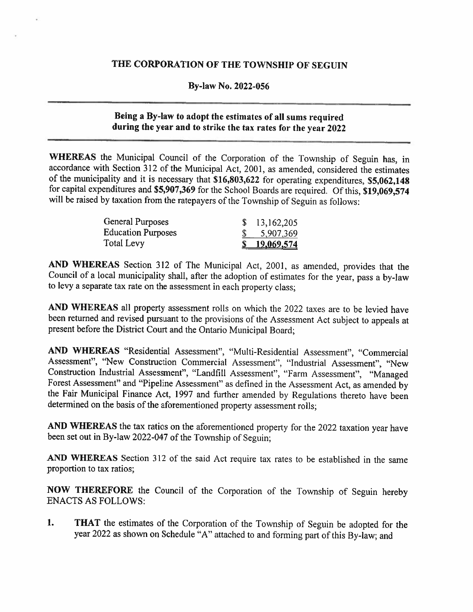## THE CORPORATION OF THE TOWNSHIP OF SEGUIN

### By-law No. 2022-056

# Being <sup>a</sup> By-law to adopt (he estimates of all sums required during the year and to strike the tax rates for the year <sup>2022</sup>

WHEREAS the Municipal Council of the Corporation of the Township of Seguin has, in accordance with Section <sup>312</sup> of the Municipal Act, 2001. as amended, considered the estimates of the municipality and it is necessary that \$16,803,622 for operating expenditures, \$5,062,148 for capital expenditures and \$5,907,369 for the School Boards are required. Of this, \$19,069,574 will be raised by taxation from the ratepayers of the Township of Seguin as follows:

| General Purposes          | 13,162,205          |
|---------------------------|---------------------|
| <b>Education Purposes</b> | \$ 5,907,369        |
| Total Levy                | <u>\$19,069,574</u> |

AND WHEREAS Section <sup>312</sup> of The Municipal Act, 2001, as amended, provides that the Council of <sup>a</sup> local municipality shall, after the adoption of estimates for the year, pass <sup>a</sup> by-law to levy <sup>a</sup> separate tax rate on the assessment in each property class;

AND WHEREAS all property assessment rolls on which the 2022 taxes are to be levied have been returned and revised pursuant to the provisions of the Assessment Act subject to appeals at present before the District Court and the Ontario Municipal Board;

AND WHEREAS "Residential Assessment", "Multi-Residential Assessment", "Commercial Assessment", "New Construction Commercial Assessment". "Industrial Assessment", "New Construction Industrial Assessment", "Landfill Assessment", "Farm Assessment", "Managed Forest Assessment" and "Pipeline Assessment" as defined in the Assessment Act, as amended by the Fair Municipal Finance Act, 1997 and further amended by Regulations thereto have been determined on the basis of the aforementioned property assessment rolls:

AND WHEREAS the tax ratios on the aforementioned property for the 2022 taxation year have been set out in By-law 2022-047 of the Township of Seguin;

AND WHEREAS Section <sup>312</sup> of the said Act require tax rates to be established in the same proportion to tax ratios;

NOW THEREFORE the Council of the Corporation of the Township of Seguin hereby ENACTS AS FOLLOWS:

1. THAT the estimates of the Corporation of the Township of Seguin be adopted for the year <sup>2022</sup> as shown on Schedule "A" attached to and forming part of this By-law; and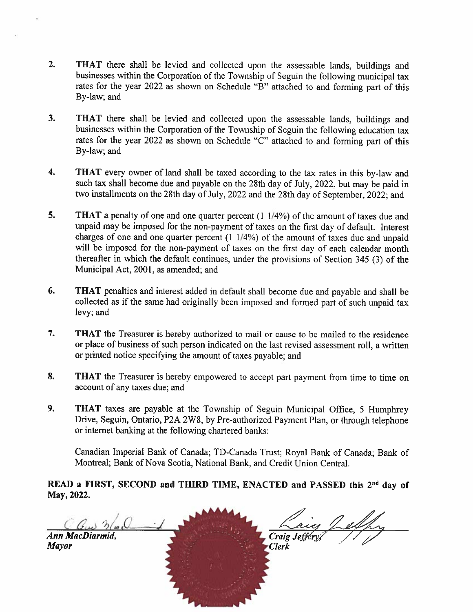- 2. THAT there shall be levied and collected upon the assessable lands, buildings and businesses within the Corporation of the Township of Seguin the following municipal tax rates for the year 2022 as shown on Schedule "B" attached to and forming part of this By-law; and
- 3. THAT there shall be levied and collected upon the assessable lands, buildings and businesses within the Corporation of the Township of Seguin the following education tax rates for the year <sup>2022</sup> as shown on Schedule "C" attached to and forming par<sup>t</sup> of this By-law; and
- 4. THAT every owner of land shall be taxed according to the tax rates in this by-law and such tax shall become due and payable on the 28th day of July, 2022, but maybe paid in two installments on the 28th day of July. <sup>2022</sup> and the 28th day of September. 2022; and
- 5. THAT a penalty of one and one quarter percent (1 1/4%) of the amount of taxes due and unpaid may be imposed for the non-payment of taxes on the first day of default. Interest charges of one and one quarter percen<sup>t</sup> (1 1/4%) of the amount of taxes due and unpaid will be imposed for the non-payment of taxes on the first day of each calendar month thereafier in which the default continues, under the provisions of Section <sup>345</sup> (3) of the Municipal Act, 2001, as amended; and
- 6. THAT penalties and interest added in default shall become due and payable and shall be collected as if the same had originally been imposed and formed par<sup>t</sup> of such unpaid tax levy; and
- 7. THAT the Treasurer is hereby authorized to mail or cause to be mailed to the residence or <sup>p</sup>lace of business of such person indicated on the last revised assessment roll, <sup>a</sup> written or printed notice specifying the amount of taxes payable; and
- 8. THAT the Treasurer is hereby empowered to accept part payment from time to time on account of any taxes due; and
- 9. THAT taxes are payable at the Township of Seguin Municipal Office, <sup>5</sup> Humphrey Drive, Seguin, Ontario, P2A 2W8, by Pre-authorized Payment Plan, or through telephone or internet banking at the following chartered banks:

Canadian Imperial Bank of Canada; TD-Canada Trust; Royal Bank of Canada; Bank of Montreal; Bank of Nova Scotia, National Bank, and Credit Union Central,

READ a FIRST, SECOND and THIRD TIME, ENACTED and PASSED this 2<sup>nd</sup> day of May, 2022.

 $Q_{\mu\nu}$   $Q_{\mu}$ Ann MacDiarmid, Craig Jeffer Mayor **Mathews Clerk Clerk** p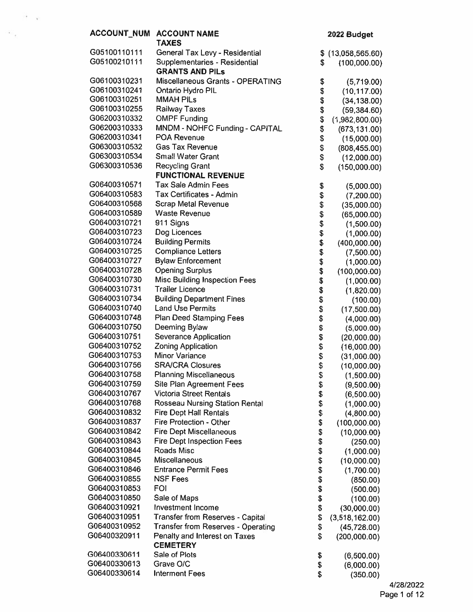|                              | ACCOUNT_NUM ACCOUNT NAME                                        |            | 2022 Budget                   |
|------------------------------|-----------------------------------------------------------------|------------|-------------------------------|
|                              | <b>TAXES</b>                                                    |            |                               |
| G05100110111                 | General Tax Levy - Residential                                  | \$         | (13,058,565.60)               |
| G05100210111                 | Supplementaries - Residential                                   | S          | (100,000.00)                  |
|                              | <b>GRANTS AND PILS</b>                                          |            |                               |
| G06100310231                 | Miscellaneous Grants - OPERATING                                | \$         | (5,719.00)                    |
| G06100310241                 | Ontario Hydro PIL                                               | \$         | (10, 117.00)                  |
| G06100310251                 | <b>MMAH PILS</b>                                                | \$         | (34, 138.00)                  |
| G06100310255                 | <b>Railway Taxes</b>                                            | \$         | (59, 384.60)                  |
| G06200310332                 | <b>OMPF Funding</b>                                             | \$         | (1,982,800.00)                |
| G06200310333                 | MNDM - NOHFC Funding - CAPITAL                                  | \$         | (673, 131.00)                 |
| G06200310341                 | <b>POA Revenue</b>                                              | \$         | (15,000.00)                   |
| G06300310532                 | <b>Gas Tax Revenue</b>                                          | \$         | (808, 455.00)                 |
| G06300310534                 | <b>Small Water Grant</b>                                        | \$         | (12,000.00)                   |
| G06300310536                 | <b>Recycling Grant</b>                                          | \$         | (150,000.00)                  |
|                              | <b>FUNCTIONAL REVENUE</b>                                       |            |                               |
| G06400310571                 | <b>Tax Sale Admin Fees</b>                                      | \$         | (5,000.00)                    |
| G06400310583                 | Tax Certificates - Admin                                        | \$         | (7,200.00)                    |
| G06400310568                 | <b>Scrap Metal Revenue</b>                                      | \$         | (35,000.00)                   |
| G06400310589                 | <b>Waste Revenue</b>                                            | \$         | (65,000.00)                   |
| G06400310721                 | 911 Signs                                                       | \$         | (1,500.00)                    |
| G06400310723                 | Dog Licences                                                    | \$         | (1,000.00)                    |
| G06400310724                 | <b>Building Permits</b>                                         | \$         | (400,000.00)                  |
| G06400310725                 | <b>Compliance Letters</b>                                       | \$         | (7,500.00)                    |
| G06400310727                 | <b>Bylaw Enforcement</b>                                        | \$         | (1,000.00)                    |
| G06400310728                 | <b>Opening Surplus</b>                                          | \$         | (100,000.00)                  |
| G06400310730                 | Misc Building Inspection Fees                                   | \$         | (1,000.00)                    |
| G06400310731                 | <b>Trailer Licence</b>                                          | \$\$       | (1,820.00)                    |
| G06400310734                 | <b>Building Department Fines</b>                                |            | (100.00)                      |
| G06400310740                 | <b>Land Use Permits</b>                                         |            | (17,500.00)                   |
| G06400310748                 | Plan Deed Stamping Fees                                         | \$         | (4,000.00)                    |
| G06400310750                 | Deeming Bylaw                                                   | \$\$\$\$\$ | (5,000.00)                    |
| G06400310751<br>G06400310752 | Severance Application                                           |            | (20,000.00)                   |
|                              | Zoning Application                                              |            | (16,000.00)                   |
| G06400310753<br>G06400310756 | Minor Variance                                                  |            | (31,000.00)                   |
| G06400310758                 | <b>SRA/CRA Closures</b>                                         |            | (10,000.00)                   |
| G06400310759                 | <b>Planning Miscellaneous</b>                                   | \$         | (1,500.00)                    |
| G06400310767                 | Site Plan Agreement Fees<br><b>Victoria Street Rentals</b>      | \$         | (9,500.00)                    |
| G06400310768                 |                                                                 | \$         | (6,500.00)                    |
| G06400310832                 | Rosseau Nursing Station Rental<br><b>Fire Dept Hall Rentals</b> | \$         | (1,000.00)                    |
| G06400310837                 | Fire Protection - Other                                         | \$         | (4,800.00)                    |
| G06400310842                 | <b>Fire Dept Miscellaneous</b>                                  | \$<br>\$   | (100,000.00)                  |
| G06400310843                 | <b>Fire Dept Inspection Fees</b>                                | \$         | (10,000.00)                   |
| G06400310844                 | Roads Misc                                                      | \$         | (250.00)                      |
| G06400310845                 | Miscellaneous                                                   | \$         | (1,000.00)                    |
| G06400310846                 | <b>Entrance Permit Fees</b>                                     | \$         | (10,000.00)                   |
| G06400310855                 | <b>NSF Fees</b>                                                 | \$         | (1,700.00)                    |
| G06400310853                 | FOI                                                             | \$         | (850.00)<br>(500.00)          |
| G06400310850                 | Sale of Maps                                                    | \$         |                               |
| G06400310921                 | Investment Income                                               | \$         | (100.00)<br>(30,000.00)       |
| G06400310951                 | Transfer from Reserves - Capital                                | \$         |                               |
| G06400310952                 | Transfer from Reserves - Operating                              | \$         | (3,518,162.00)<br>(45,728.00) |
| G06400320911                 | Penalty and Interest on Taxes                                   | \$         | (200,000.00)                  |
|                              | <b>CEMETERY</b>                                                 |            |                               |
| G06400330611                 | Sale of Plots                                                   | \$         | (6,500.00)                    |
| G06400330613                 | Grave O/C                                                       | \$         | (6,000.00)                    |
| G06400330614                 | <b>Interment Fees</b>                                           | \$         | (350.00)                      |
|                              |                                                                 |            |                               |

 $\mathcal{O}(\mathbb{R}^3)$  .

 $\mathcal{F}_{\mathcal{A}}$  .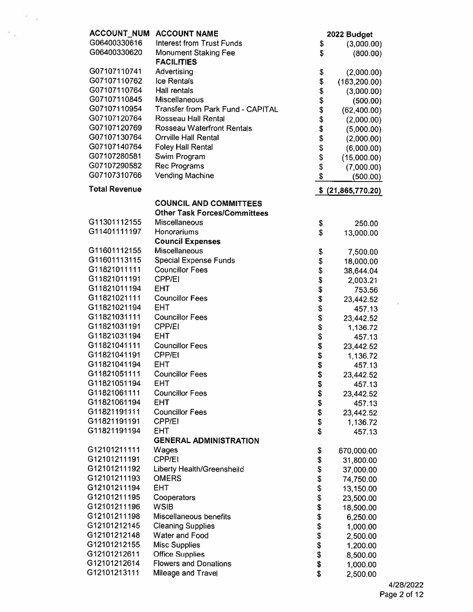| <b>ACCOUNT_NUM</b><br><b>ACCOUNT NAME</b>         |                 | 2022 Budget        |
|---------------------------------------------------|-----------------|--------------------|
| G06400330616<br><b>Interest from Trust Funds</b>  | \$              | (3,000.00)         |
| G06400330620<br><b>Monument Staking Fee</b>       | \$              | (800.00)           |
| <b>FACILITIES</b>                                 |                 |                    |
| G07107110741<br>Advertising                       | \$              | (2,000.00)         |
| G07107110762<br>Ice Rentals                       | \$              | (163, 200.00)      |
| G07107110764<br>Hall rentals                      | \$              | (3,000.00)         |
| G07107110845<br><b>Miscellaneous</b>              | \$<br>\$        | (500.00)           |
| G07107110954<br>Transfer from Park Fund - CAPITAL |                 | (62, 400.00)       |
| G07107120764<br>Rosseau Hall Rental               | \$              | (2,000.00)         |
| G07107120769<br><b>Rosseau Waterfront Rentals</b> | \$              | (5,000.00)         |
| G07107130764<br><b>Orrville Hall Rental</b>       | \$              | (2,000.00)         |
| G07107140764<br><b>Foley Hall Rental</b>          | \$              | (6,000.00)         |
| G07107280581<br>Swim Program                      | \$              | (15,000.00)        |
| G07107290582<br><b>Rec Programs</b>               | \$              | (7,000.00)         |
| G07107310766<br><b>Vending Machine</b>            | \$              | (500.00)           |
| <b>Total Revenue</b>                              |                 | \$ (21,865,770.20) |
| <b>COUNCIL AND COMMITTEES</b>                     |                 |                    |
| <b>Other Task Forces/Committees</b>               |                 |                    |
| G11301112155<br>Miscellaneous                     | \$              | 250.00             |
| G11401111197<br>Honorariums                       | \$              | 13,000.00          |
| <b>Council Expenses</b>                           |                 |                    |
| G11601112155<br>Miscellaneous                     | \$              | 7,500.00           |
| G11601113115<br><b>Special Expense Funds</b>      | \$              | 18,000.00          |
| G11821011111<br><b>Councillor Fees</b>            | \$              | 38,644.04          |
| G11821011191<br><b>CPP/EI</b>                     | \$              | 2,003.21           |
| G11821011194<br><b>EHT</b>                        | \$              | 753.56             |
| G11821021111<br><b>Councillor Fees</b>            |                 | 23,442.52          |
| G11821021194<br><b>EHT</b>                        |                 | 457.13             |
| G11821031111<br><b>Councillor Fees</b>            | <b>88888888</b> | 23,442.52          |
| G11821031191<br><b>CPP/EI</b>                     |                 | 1,136.72           |
| G11821031194<br><b>EHT</b>                        |                 | 457.13             |
| G11821041111<br><b>Councillor Fees</b>            |                 | 23,442.52          |
| G11821041191<br><b>CPP/EI</b>                     |                 | 1,136.72           |
| G11821041194<br><b>EHT</b>                        |                 | 457.13             |
| G11821051111<br><b>Councillor Fees</b>            | \$              | 23,442.52          |
| G11821051194<br>EHT                               | \$              | 457.13             |
| G11821061111<br><b>Councillor Fees</b>            |                 | 23,442.52          |
| G11821061194<br><b>EHT</b>                        |                 | 457.13             |
| G11821191111<br><b>Councillor Fees</b>            | \$\$            | 23,442.52          |
| G11821191191<br><b>CPP/EI</b>                     | \$              | 1,136.72           |
| G11821191194<br><b>EHT</b>                        | \$              | 457.13             |
| <b>GENERAL ADMINISTRATION</b>                     |                 |                    |
| G12101211111<br>Wages                             | \$              | 670,000.00         |
| CPP/EI<br>G12101211191                            | \$              | 31,800.00          |
| G12101211192<br>Liberty Health/Greensheild        | \$              | 37,000.00          |
| G12101211193<br><b>OMERS</b>                      |                 | 74,750.00          |
| G12101211194<br><b>EHT</b>                        | \$\$            | 13,150.00          |
| G12101211195<br>Cooperators                       |                 | 23,500.00          |
| G12101211196<br><b>WSIB</b>                       |                 | 18,500.00          |
| G12101211198<br>Miscellaneous benefits            |                 | 6,250.00           |
| G12101212145<br><b>Cleaning Supplies</b>          | \$\$\$\$\$\$\$  | 1,000.00           |
| G12101212148<br>Water and Food                    |                 | 2,500.00           |
| G12101212155<br><b>Misc Supplies</b>              |                 | 1,200.00           |
| G12101212611<br><b>Office Supplies</b>            |                 | 8,500.00           |
| G12101212614<br><b>Flowers and Donations</b>      | \$              | 1,000.00           |
| G12101213111<br>Mileage and Travel                | \$              | 2,500.00           |

 $\sim 10^{11}$  kg  $^{-1}$ 

 $\sim 10^{-1}$   $\mu_{\rm H}$ 

 $\langle \mathbf{r} \rangle$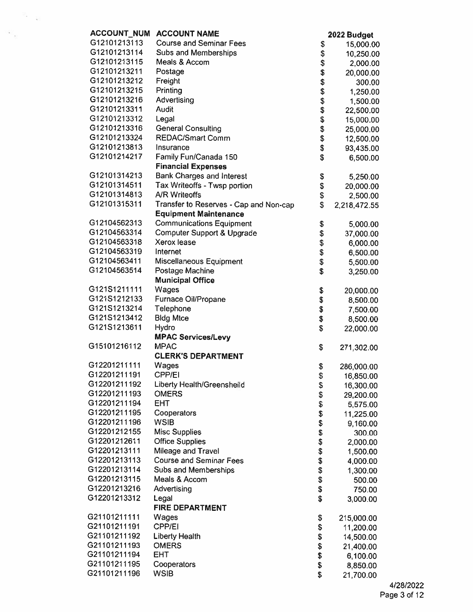| <b>ACCOUNT NUM</b> | <b>ACCOUNT NAME</b>                    |                | 2022 Budget  |
|--------------------|----------------------------------------|----------------|--------------|
| G12101213113       | <b>Course and Seminar Fees</b>         | \$             | 15,000.00    |
| G12101213114       | <b>Subs and Memberships</b>            | \$             | 10,250.00    |
| G12101213115       | Meals & Accom                          | \$             | 2,000.00     |
| G12101213211       | Postage                                | \$             | 20,000.00    |
| G12101213212       | Freight                                | \$\$\$\$\$\$\$ | 300.00       |
| G12101213215       | Printing                               |                | 1,250.00     |
| G12101213216       | Advertising                            |                | 1,500.00     |
| G12101213311       | Audit                                  |                | 22,500.00    |
| G12101213312       | Legal                                  |                | 15,000.00    |
| G12101213316       | <b>General Consulting</b>              |                | 25,000.00    |
| G12101213324       | <b>REDAC/Smart Comm</b>                | \$             | 12,500.00    |
| G12101213813       | Insurance                              | \$             | 93,435.00    |
| G12101214217       | Family Fun/Canada 150                  | \$             | 6,500.00     |
|                    | <b>Financial Expenses</b>              |                |              |
| G12101314213       | <b>Bank Charges and Interest</b>       | \$             | 5,250.00     |
| G12101314511       | Tax Writeoffs - Twsp portion           | \$             | 20,000.00    |
| G12101314813       | <b>A/R Writeoffs</b>                   | \$             | 2,500.00     |
| G12101315311       | Transfer to Reserves - Cap and Non-cap | \$             | 2,218,472.55 |
|                    | <b>Equipment Maintenance</b>           |                |              |
| G12104562313       | <b>Communications Equipment</b>        | \$             | 5,000.00     |
| G12104563314       | Computer Support & Upgrade             | \$             | 37,000.00    |
| G12104563318       | Xerox lease                            | \$             | 6,000.00     |
| G12104563319       | Internet                               | \$             | 6,500.00     |
| G12104563411       | Miscellaneous Equipment                | \$             | 5,500.00     |
| G12104563514       | Postage Machine                        | \$             | 3,250.00     |
|                    | <b>Municipal Office</b>                |                |              |
| G121S1211111       | Wages                                  | \$             | 20,000.00    |
| G121S1212133       | Furnace Oil/Propane                    | \$             | 8,500.00     |
| G121S1213214       | Telephone                              | \$             | 7,500.00     |
| G121S1213412       | <b>Bldg Mtce</b>                       | \$             | 8,500.00     |
| G121S1213611       | Hydro                                  | \$             | 22,000.00    |
|                    | <b>MPAC Services/Levy</b>              |                |              |
| G15101216112       | <b>MPAC</b>                            | \$             | 271,302.00   |
|                    | <b>CLERK'S DEPARTMENT</b>              |                |              |
| G12201211111       | Wages                                  | \$             | 286,000.00   |
| G12201211191       | CPP/EI                                 | \$             | 16,850.00    |
| G12201211192       | Liberty Health/Greensheild             | \$             | 16,300.00    |
| G12201211193       | <b>OMERS</b>                           | \$             | 29,200.00    |
| G12201211194       | <b>EHT</b>                             | \$             | 5,575.00     |
| G12201211195       | Cooperators                            | \$             | 11,225.00    |
| G12201211196       | <b>WSIB</b>                            | \$             | 9,160.00     |
| G12201212155       | <b>Misc Supplies</b>                   | \$             | 300.00       |
| G12201212611       | <b>Office Supplies</b>                 | \$             | 2,000.00     |
| G12201213111       | Mileage and Travel                     | \$             | 1,500.00     |
| G12201213113       | <b>Course and Seminar Fees</b>         | \$             | 4,000.00     |
| G12201213114       | Subs and Memberships                   | \$             | 1,300.00     |
| G12201213115       | Meals & Accom                          | \$             | 500.00       |
| G12201213216       | Advertising                            | \$             | 750.00       |
| G12201213312       | Legal                                  | \$             | 3,000.00     |
|                    | <b>FIRE DEPARTMENT</b>                 |                |              |
| G21101211111       | Wages                                  | \$             | 215,000.00   |
| G21101211191       | CPP/EI                                 | \$             | 11,200.00    |
| G21101211192       | <b>Liberty Health</b>                  | \$             | 14,500.00    |
| G21101211193       | <b>OMERS</b>                           | \$             | 21,400.00    |
| G21101211194       | <b>EHT</b>                             | \$             | 6,100.00     |
| G21101211195       | Cooperators                            | \$             | 8,850.00     |
| G21101211196       | <b>WSIB</b>                            | \$             | 21,700.00    |

 $\mathcal{F}_{\mathcal{F}_{\mathcal{A}}}$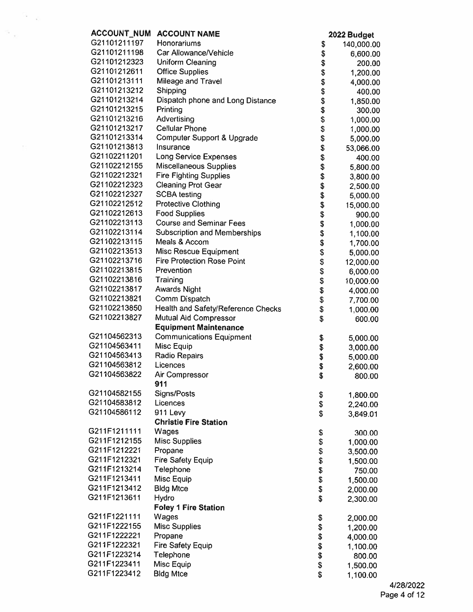| <b>ACCOUNT_NUM</b> | <b>ACCOUNT NAME</b>                 |          | 2022 Budget |
|--------------------|-------------------------------------|----------|-------------|
| G21101211197       | Honorariums                         | \$       | 140,000.00  |
| G21101211198       | Car Allowance/Vehicle               | \$       | 6,600.00    |
| G21101212323       | Uniform Cleaning                    | \$       | 200.00      |
| G21101212611       | <b>Office Supplies</b>              | \$       | 1,200.00    |
| G21101213111       | Mileage and Travel                  | \$       | 4,000.00    |
| G21101213212       | Shipping                            | \$       | 400.00      |
| G21101213214       | Dispatch phone and Long Distance    | \$       | 1,850.00    |
| G21101213215       | Printing                            | \$       | 300.00      |
| G21101213216       | Advertising                         | \$       | 1,000.00    |
| G21101213217       | <b>Cellular Phone</b>               | \$       | 1,000.00    |
| G21101213314       | Computer Support & Upgrade          | \$       | 5,000.00    |
| G21101213813       | Insurance                           | \$       | 53,066.00   |
| G21102211201       | <b>Long Service Expenses</b>        | \$       | 400.00      |
| G21102212155       | <b>Miscellaneous Supplies</b>       | \$       | 5,800.00    |
| G21102212321       | <b>Fire Fighting Supplies</b>       | \$       | 3,800.00    |
| G21102212323       | <b>Cleaning Prot Gear</b>           | \$       | 2,500.00    |
| G21102212327       | <b>SCBA testing</b>                 | \$       | 5,000.00    |
| G21102212512       | <b>Protective Clothing</b>          | \$       | 15,000.00   |
| G21102212613       | <b>Food Supplies</b>                | \$       | 900.00      |
| G21102213113       | <b>Course and Seminar Fees</b>      | \$       | 1,000.00    |
| G21102213114       | <b>Subscription and Memberships</b> | \$       |             |
| G21102213115       | Meals & Accom                       | \$       | 1,100.00    |
| G21102213513       | Misc Rescue Equipment               | \$       | 1,700.00    |
| G21102213716       | <b>Fire Protection Rose Point</b>   | \$       | 5,000.00    |
| G21102213815       | Prevention                          | \$       | 12,000.00   |
| G21102213816       | Training                            | \$       | 6,000.00    |
| G21102213817       |                                     |          | 10,000.00   |
| G21102213821       | <b>Awards Night</b>                 | \$       | 4,000.00    |
| G21102213850       | Comm Dispatch                       | \$       | 7,700.00    |
| G21102213827       | Health and Safety/Reference Checks  | \$       | 1,000.00    |
|                    | Mutual Aid Compressor               | \$       | 600.00      |
|                    | <b>Equipment Maintenance</b>        |          |             |
| G21104562313       | <b>Communications Equipment</b>     | \$       | 5,000.00    |
| G21104563411       | Misc Equip                          | \$       | 3,000.00    |
| G21104563413       | <b>Radio Repairs</b>                | \$       | 5,000.00    |
| G21104563812       | Licences                            | \$       | 2,600.00    |
| G21104563822       | Air Compressor                      | \$       | 800.00      |
|                    | 911                                 |          |             |
| G21104582155       | Signs/Posts                         | \$       | 1,800.00    |
| G21104583812       | Licences                            | \$       | 2,240.00    |
| G21104586112       | 911 Levy                            | \$       | 3,849.01    |
|                    | <b>Christie Fire Station</b>        |          |             |
| G211F1211111       | Wages                               | \$       | 300.00      |
| G211F1212155       | <b>Misc Supplies</b>                | \$       | 1,000.00    |
| G211F1212221       | Propane                             | \$       | 3,500.00    |
| G211F1212321       | <b>Fire Safety Equip</b>            | \$       | 1,500.00    |
| G211F1213214       | Telephone                           | \$       | 750.00      |
| G211F1213411       | Misc Equip                          | \$       | 1,500.00    |
| G211F1213412       | <b>Bldg Mtce</b>                    | \$       | 2,000.00    |
| G211F1213611       | Hydro                               | \$       | 2,300.00    |
|                    | <b>Foley 1 Fire Station</b>         |          |             |
| G211F1221111       | Wages                               | \$       | 2,000.00    |
| G211F1222155       | <b>Misc Supplies</b>                |          | 1,200.00    |
| G211F1222221       | Propane                             | \$<br>\$ | 4,000.00    |
| G211F1222321       | <b>Fire Safety Equip</b>            | \$       | 1,100.00    |
| G211F1223214       | Telephone                           | \$       | 800.00      |
| G211F1223411       | Misc Equip                          | \$       | 1,500.00    |
| G211F1223412       | <b>Bldg Mtce</b>                    | \$       | 1,100.00    |

 $\widehat{G} = -\frac{\beta}{2\beta} \, .$ 

 $\mathcal{F}_{\mathcal{R}}$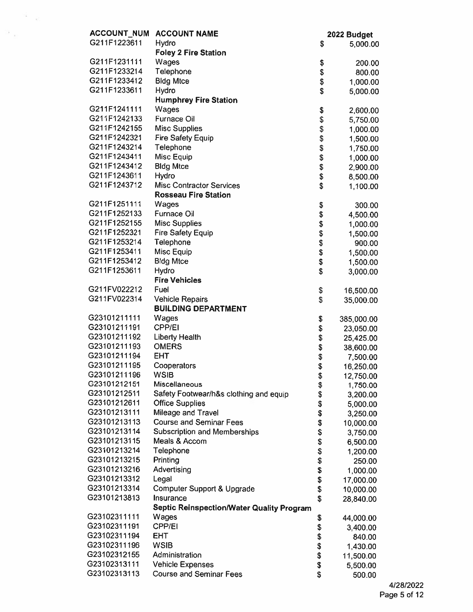| <b>ACCOUNT NUM</b>           | <b>ACCOUNT NAME</b>                                       |          | 2022 Budget             |
|------------------------------|-----------------------------------------------------------|----------|-------------------------|
| G211F1223611                 | Hydro                                                     | \$       | 5,000.00                |
|                              | <b>Foley 2 Fire Station</b>                               |          |                         |
| G211F1231111                 | Wages                                                     | \$       | 200.00                  |
| G211F1233214                 | Telephone                                                 | \$       | 800.00                  |
| G211F1233412                 | <b>Bldg Mtce</b>                                          | \$       | 1,000.00                |
| G211F1233611                 | Hydro                                                     | \$       | 5,000.00                |
|                              | <b>Humphrey Fire Station</b>                              |          |                         |
| G211F1241111                 | Wages                                                     | \$       | 2,600.00                |
| G211F1242133                 | <b>Furnace Oil</b>                                        | \$       | 5,750.00                |
| G211F1242155                 | <b>Misc Supplies</b>                                      | \$       | 1,000.00                |
| G211F1242321                 | <b>Fire Safety Equip</b>                                  | \$       | 1,500.00                |
| G211F1243214                 | Telephone                                                 | \$       | 1,750.00                |
| G211F1243411                 | Misc Equip                                                | \$       | 1,000.00                |
| G211F1243412                 | <b>Bldg Mtce</b>                                          | \$       | 2,900.00                |
| G211F1243611                 | <b>Hydro</b>                                              | \$       | 8,500.00                |
| G211F1243712                 | <b>Misc Contractor Services</b>                           | \$       | 1,100.00                |
|                              | <b>Rosseau Fire Station</b>                               |          |                         |
| G211F1251111                 | Wages                                                     | \$       | 300.00                  |
| G211F1252133                 | <b>Furnace Oil</b>                                        | \$       | 4,500.00                |
| G211F1252155                 | <b>Misc Supplies</b>                                      | \$       | 1,000.00                |
| G211F1252321                 | <b>Fire Safety Equip</b>                                  | \$       | 1,500.00                |
| G211F1253214                 | Telephone                                                 | \$       | 900.00                  |
| G211F1253411                 | Misc Equip                                                | \$       | 1,500.00                |
| G211F1253412                 | <b>Bldg Mtce</b>                                          | \$       | 1,500.00                |
| G211F1253611                 | Hydro                                                     | \$       | 3,000.00                |
|                              | <b>Fire Vehicles</b>                                      |          |                         |
| G211FV022212<br>G211FV022314 | Fuel                                                      | \$       | 16,500.00               |
|                              | <b>Vehicle Repairs</b><br><b>BUILDING DEPARTMENT</b>      | \$       | 35,000.00               |
| G23101211111                 | Wages                                                     |          |                         |
| G23101211191                 | <b>CPP/EI</b>                                             | \$<br>\$ | 385,000.00<br>23,050.00 |
| G23101211192                 | <b>Liberty Health</b>                                     | \$       | 25,425.00               |
| G23101211193                 | <b>OMERS</b>                                              | \$       | 38,600.00               |
| G23101211194                 | <b>EHT</b>                                                | \$       | 7,500.00                |
| G23101211195                 | Cooperators                                               | \$       | 16,250.00               |
| G23101211196                 | <b>WSIB</b>                                               | \$       | 12,750.00               |
| G23101212151                 | Miscellaneous                                             | \$       | 1,750.00                |
| G23101212511                 | Safety Footwear/h&s clothing and equip                    | \$       | 3,200.00                |
| G23101212611                 | <b>Office Supplies</b>                                    | \$       | 5,000.00                |
| G23101213111                 | Mileage and Travel                                        | \$       | 3,250.00                |
| G23101213113                 | <b>Course and Seminar Fees</b>                            | \$       | 10,000.00               |
| G23101213114                 | Subscription and Memberships                              | \$       | 3,750.00                |
| G23101213115                 | Meals & Accom                                             | \$       | 6,500.00                |
| G23101213214                 | Telephone                                                 | \$       | 1,200.00                |
| G23101213215                 | Printing                                                  | \$       | 250.00                  |
| G23101213216                 | Advertising                                               | \$       | 1,000.00                |
| G23101213312                 | Legal                                                     | \$<br>\$ | 17,000.00               |
| G23101213314                 | Computer Support & Upgrade                                |          | 10,000.00               |
| G23101213813                 | Insurance                                                 | \$       | 28,840.00               |
|                              | <b>Septic Reinspection/Water Quality Program</b>          |          |                         |
| G23102311111                 | Wages                                                     | \$       | 44,000.00               |
| G23102311191                 | CPP/EI                                                    | \$       | 3,400.00                |
| G23102311194                 | EHT                                                       | \$       | 840.00                  |
| G23102311196                 | <b>WSIB</b>                                               | \$       | 1,430.00                |
| G23102312155<br>G23102313111 | Administration                                            | \$       | 11,500.00               |
| G23102313113                 | <b>Vehicle Expenses</b><br><b>Course and Seminar Fees</b> | \$<br>\$ | 5,500.00                |
|                              |                                                           |          | 500.00                  |

 $\frac{1}{2}$  and  $\frac{1}{2}$ 

 $\mathcal{D}_{\mathcal{A}(\mathcal{C})}$  .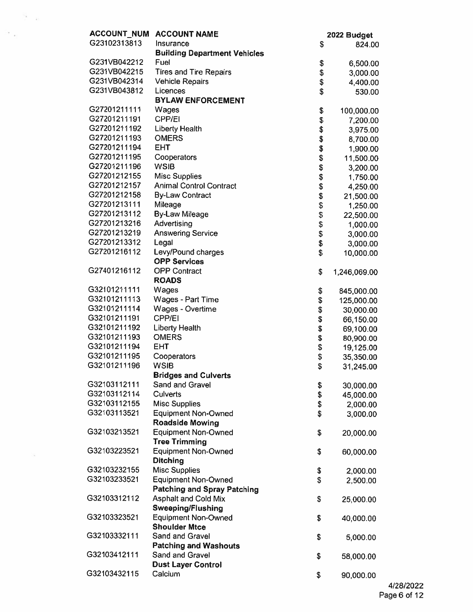| <b>ACCOUNT NUM</b> | <b>ACCOUNT NAME</b>                 |                         | 2022 Budget  |
|--------------------|-------------------------------------|-------------------------|--------------|
| G23102313813       | Insurance                           | \$                      | 824.00       |
|                    | <b>Building Department Vehicles</b> |                         |              |
| G231VB042212       | Fuel                                | \$                      | 6,500.00     |
| G231VB042215       | <b>Tires and Tire Repairs</b>       |                         | 3,000.00     |
| G231VB042314       | <b>Vehicle Repairs</b>              | \$<br>\$                | 4,400.00     |
| G231VB043812       | Licences                            | \$                      | 530.00       |
|                    | <b>BYLAW ENFORCEMENT</b>            |                         |              |
| G27201211111       | Wages                               | \$                      | 100,000.00   |
| G27201211191       | CPP/EI                              | \$                      | 7,200.00     |
| G27201211192       | <b>Liberty Health</b>               |                         | 3,975.00     |
| G27201211193       | <b>OMERS</b>                        |                         | 8,700.00     |
| G27201211194       | <b>EHT</b>                          |                         | 1,900.00     |
| G27201211195       | Cooperators                         | \$\$\$\$\$\$\$\$\$      | 11,500.00    |
| G27201211196       | <b>WSIB</b>                         |                         | 3,200.00     |
| G27201212155       | <b>Misc Supplies</b>                |                         | 1,750.00     |
| G27201212157       | <b>Animal Control Contract</b>      |                         | 4,250.00     |
| G27201212158       | <b>By-Law Contract</b>              |                         | 21,500.00    |
| G27201213111       | Mileage                             | \$                      | 1,250.00     |
| G27201213112       | <b>By-Law Mileage</b>               |                         | 22,500.00    |
| G27201213216       | Advertising                         |                         | 1,000.00     |
| G27201213219       | <b>Answering Service</b>            |                         | 3,000.00     |
| G27201213312       | Legal                               | \$\$\$                  | 3,000.00     |
| G27201216112       | Levy/Pound charges                  | \$                      | 10,000.00    |
|                    | <b>OPP Services</b>                 |                         |              |
| G27401216112       | <b>OPP Contract</b>                 | \$                      | 1,246,069.00 |
|                    | <b>ROADS</b>                        |                         |              |
| G32101211111       | Wages                               | \$                      | 845,000.00   |
| G32101211113       | Wages - Part Time                   | \$                      | 125,000.00   |
| G32101211114       | <b>Wages - Overtime</b>             |                         | 30,000.00    |
| G32101211191       | CPP/EI                              | <b>3 \$ \$ \$ \$ \$</b> | 66,150.00    |
| G32101211192       | <b>Liberty Health</b>               |                         | 69,100.00    |
| G32101211193       | <b>OMERS</b>                        |                         | 80,900.00    |
| G32101211194       | <b>EHT</b>                          |                         | 19,125.00    |
| G32101211195       | Cooperators                         |                         | 35,350.00    |
| G32101211196       | <b>WSIB</b>                         | \$                      | 31,245.00    |
|                    | <b>Bridges and Culverts</b>         |                         |              |
| G32103112111       | Sand and Gravel                     | \$                      | 30,000.00    |
| G32103112114       | <b>Culverts</b>                     | \$                      | 45,000.00    |
| G32103112155       | <b>Misc Supplies</b>                | \$                      | 2,000.00     |
| G32103113521       | <b>Equipment Non-Owned</b>          | \$                      | 3,000.00     |
|                    | <b>Roadside Mowing</b>              |                         |              |
| G32103213521       | <b>Equipment Non-Owned</b>          | \$                      | 20,000.00    |
|                    | <b>Tree Trimming</b>                |                         |              |
| G32103223521       | <b>Equipment Non-Owned</b>          | \$                      | 60,000.00    |
|                    | <b>Ditching</b>                     |                         |              |
| G32103232155       | <b>Misc Supplies</b>                | \$                      | 2,000.00     |
| G32103233521       | <b>Equipment Non-Owned</b>          | \$                      | 2,500.00     |
|                    | <b>Patching and Spray Patching</b>  |                         |              |
| G32103312112       | <b>Asphalt and Cold Mix</b>         | \$                      | 25,000.00    |
|                    | <b>Sweeping/Flushing</b>            |                         |              |
| G32103323521       | <b>Equipment Non-Owned</b>          | \$                      | 40,000.00    |
|                    | <b>Shoulder Mtce</b>                |                         |              |
| G32103332111       | Sand and Gravel                     | \$                      | 5,000.00     |
|                    | <b>Patching and Washouts</b>        |                         |              |
| G32103412111       | Sand and Gravel                     | \$                      | 58,000.00    |
|                    | <b>Dust Layer Control</b>           |                         |              |
| G32103432115       | Calcium                             | \$                      | 90,000.00    |
|                    |                                     |                         |              |

 $\frac{2\pi}{\pi}$  .

 $\mathcal{L}_{\mathcal{F}}$ 

 $\mathcal{H}_{\rm eff}$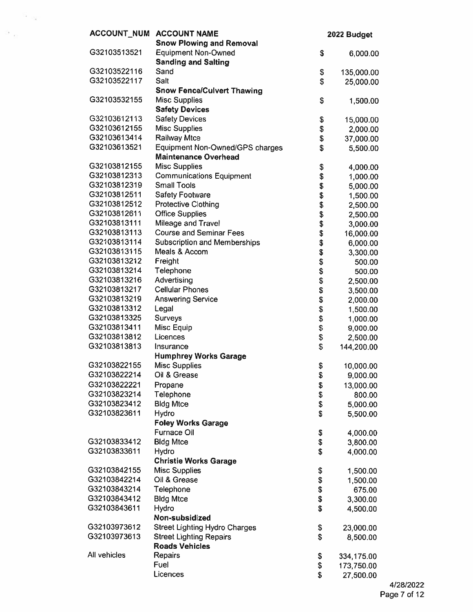| <b>ACCOUNT_NUM</b>           | <b>ACCOUNT NAME</b><br><b>Snow Plowing and Removal</b>         | 2022 Budget |                      |
|------------------------------|----------------------------------------------------------------|-------------|----------------------|
| G32103513521                 | <b>Equipment Non-Owned</b>                                     | \$          | 6,000.00             |
|                              | <b>Sanding and Salting</b>                                     |             |                      |
| G32103522116                 | Sand                                                           | \$          | 135,000.00           |
| G32103522117                 | Salt                                                           | \$          | 25,000.00            |
|                              | <b>Snow Fence/Culvert Thawing</b>                              |             |                      |
| G32103532155                 | <b>Misc Supplies</b>                                           | \$          | 1,500.00             |
|                              | <b>Safety Devices</b>                                          |             |                      |
| G32103612113                 | <b>Safety Devices</b>                                          | \$          | 15,000.00            |
| G32103612155<br>G32103613414 | <b>Misc Supplies</b>                                           | \$          | 2,000.00             |
| G32103613521                 | Railway Mtce                                                   | \$<br>\$    | 37,000.00            |
|                              | Equipment Non-Owned/GPS charges<br><b>Maintenance Overhead</b> |             | 5,500.00             |
| G32103812155                 | <b>Misc Supplies</b>                                           | \$          |                      |
| G32103812313                 | <b>Communications Equipment</b>                                | \$          | 4,000.00<br>1,000.00 |
| G32103812319                 | <b>Small Tools</b>                                             | \$          | 5,000.00             |
| G32103812511                 | <b>Safety Footware</b>                                         | \$          | 1,500.00             |
| G32103812512                 | <b>Protective Clothing</b>                                     | \$          | 2,500.00             |
| G32103812611                 | <b>Office Supplies</b>                                         | \$          | 2,500.00             |
| G32103813111                 | Mileage and Travel                                             | \$          | 3,000.00             |
| G32103813113                 | <b>Course and Seminar Fees</b>                                 | \$          | 16,000.00            |
| G32103813114                 | <b>Subscription and Memberships</b>                            | \$          | 6,000.00             |
| G32103813115                 | Meals & Accom                                                  | \$          | 3,300.00             |
| G32103813212                 | Freight                                                        | \$          | 500.00               |
| G32103813214                 | Telephone                                                      | \$          | 500.00               |
| G32103813216                 | Advertising                                                    | \$          | 2,500.00             |
| G32103813217                 | <b>Cellular Phones</b>                                         | \$          | 3,500.00             |
| G32103813219                 | <b>Answering Service</b>                                       | \$          | 2,000.00             |
| G32103813312                 | Legal                                                          | \$          | 1,500.00             |
| G32103813325                 | Surveys                                                        | \$          | 1,000.00             |
| G32103813411                 | Misc Equip                                                     | \$          | 9,000.00             |
| G32103813812                 | Licences                                                       | \$          | 2,500.00             |
| G32103813813                 | Insurance                                                      | \$          | 144,200.00           |
|                              | <b>Humphrey Works Garage</b>                                   |             |                      |
| G32103822155                 | <b>Misc Supplies</b>                                           | \$          | 10,000.00            |
| G32103822214                 | Oil & Grease                                                   | \$          | 9,000.00             |
| G32103822221                 | Propane                                                        | \$          | 13,000.00            |
| G32103823214                 | Telephone                                                      | \$          | 800.00               |
| G32103823412                 | <b>Bldg Mtce</b>                                               | \$          | 5,000.00             |
| G32103823611                 | Hydro                                                          | \$          | 5,500.00             |
|                              | <b>Foley Works Garage</b><br>Furnace Oil                       |             |                      |
| G32103833412                 | <b>Bldg Mtce</b>                                               | \$          | 4,000.00             |
| G32103833611                 | Hydro                                                          | \$<br>\$    | 3,800.00             |
|                              | <b>Christie Works Garage</b>                                   |             | 4,000.00             |
| G32103842155                 | <b>Misc Supplies</b>                                           | \$          | 1,500.00             |
| G32103842214                 | Oil & Grease                                                   | \$          | 1,500.00             |
| G32103843214                 | Telephone                                                      | \$          | 675.00               |
| G32103843412                 | <b>Bldg Mtce</b>                                               | \$          | 3,300.00             |
| G32103843611                 | Hydro                                                          | \$          | 4,500.00             |
|                              | Non-subsidized                                                 |             |                      |
| G32103973612                 | <b>Street Lighting Hydro Charges</b>                           | \$          | 23,000.00            |
| G32103973613                 | <b>Street Lighting Repairs</b>                                 | \$          | 8,500.00             |
|                              | <b>Roads Vehicles</b>                                          |             |                      |
| All vehicles                 | Repairs                                                        | \$          | 334,175.00           |
|                              | Fuel                                                           | \$          | 173,750.00           |
|                              | Licences                                                       | \$          | 27,500.00            |

 $\mathbb{S}_{\mathbb{Z}_{\geq 0}}$ 

 $\mathcal{D}_{-12}$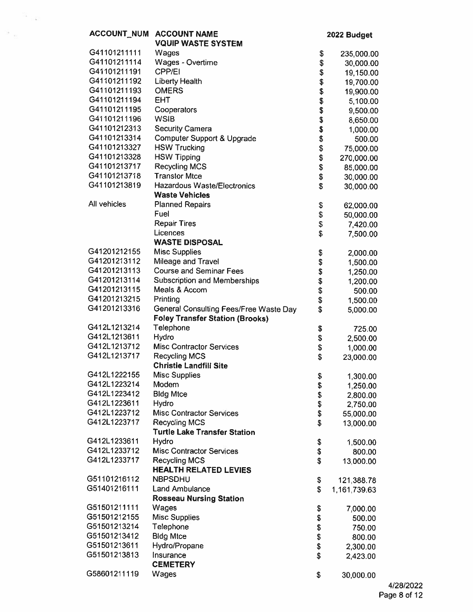|                              | ACCOUNT_NUM ACCOUNT NAME                             | 2022 Budget      |                            |
|------------------------------|------------------------------------------------------|------------------|----------------------------|
|                              | <b>VQUIP WASTE SYSTEM</b>                            |                  |                            |
| G41101211111                 | Wages                                                | \$               | 235,000.00                 |
| G41101211114                 | Wages - Overtime                                     | \$               | 30,000.00                  |
| G41101211191                 | <b>CPP/EI</b>                                        | <b>おおおおおおお</b>   | 19,150.00                  |
| G41101211192                 | <b>Liberty Health</b>                                |                  | 19,700.00                  |
| G41101211193                 | <b>OMERS</b>                                         |                  | 19,900.00                  |
| G41101211194                 | <b>EHT</b>                                           |                  | 5,100.00                   |
| G41101211195                 | Cooperators                                          |                  | 9,500.00                   |
| G41101211196                 | <b>WSIB</b>                                          |                  | 8,650.00                   |
| G41101212313                 | <b>Security Camera</b>                               |                  | 1,000.00                   |
| G41101213314                 | Computer Support & Upgrade                           |                  | 500.00                     |
| G41101213327                 | <b>HSW Trucking</b>                                  | \$               | 75,000.00                  |
| G41101213328                 | <b>HSW Tipping</b>                                   | \$               | 270,000.00                 |
| G41101213717                 | <b>Recycling MCS</b>                                 | \$               | 85,000.00                  |
| G41101213718<br>G41101213819 | <b>Transtor Mtce</b>                                 | \$               | 30,000.00                  |
|                              | <b>Hazardous Waste/Electronics</b>                   | \$               | 30,000.00                  |
| All vehicles                 | <b>Waste Vehicles</b>                                |                  |                            |
|                              | <b>Planned Repairs</b><br>Fuel                       | \$               | 62,000.00                  |
|                              | <b>Repair Tires</b>                                  | \$<br>\$         | 50,000.00                  |
|                              | Licences                                             | \$               | 7,420.00                   |
|                              | <b>WASTE DISPOSAL</b>                                |                  | 7,500.00                   |
| G41201212155                 | <b>Misc Supplies</b>                                 | \$               | 2,000.00                   |
| G41201213112                 | Mileage and Travel                                   | \$               | 1,500.00                   |
| G41201213113                 | <b>Course and Seminar Fees</b>                       |                  | 1,250.00                   |
| G41201213114                 | <b>Subscription and Memberships</b>                  | क <del>श</del> क | 1,200.00                   |
| G41201213115                 | Meals & Accom                                        |                  | 500.00                     |
| G41201213215                 | Printing                                             | \$               | 1,500.00                   |
| G41201213316                 | General Consulting Fees/Free Waste Day               | \$               | 5,000.00                   |
|                              | <b>Foley Transfer Station (Brooks)</b>               |                  |                            |
| G412L1213214                 | Telephone                                            | \$               | 725.00                     |
| G412L1213611                 | Hydro                                                | \$               | 2,500.00                   |
| G412L1213712                 | <b>Misc Contractor Services</b>                      | \$               | 1,000.00                   |
| G412L1213717                 | Recycling MCS                                        | \$               | 23,000.00                  |
|                              | <b>Christie Landfill Site</b>                        |                  |                            |
| G412L1222155                 | <b>Misc Supplies</b>                                 | \$               | 1,300.00                   |
| G412L1223214                 | Modem                                                | \$               | 1,250.00                   |
| G412L1223412                 | <b>Bldg Mtce</b>                                     | \$               | 2,800.00                   |
| G412L1223611                 | Hydro                                                | \$               | 2,750.00                   |
| G412L1223712                 | <b>Misc Contractor Services</b>                      | \$               | 55,000.00                  |
| G412L1223717                 | <b>Recycling MCS</b>                                 | \$               | 13,000.00                  |
|                              | <b>Turtle Lake Transfer Station</b>                  |                  |                            |
| G412L1233611                 | Hydro                                                | \$               | 1,500.00                   |
| G412L1233712                 | <b>Misc Contractor Services</b>                      | \$               | 800.00                     |
| G412L1233717                 | <b>Recycling MCS</b><br><b>HEALTH RELATED LEVIES</b> | \$               | 13,000.00                  |
| G51101216112                 | <b>NBPSDHU</b>                                       |                  |                            |
| G51401216111                 | <b>Land Ambulance</b>                                | \$<br>\$         | 121,388.78<br>1,161,739.63 |
|                              | <b>Rosseau Nursing Station</b>                       |                  |                            |
| G51501211111                 | Wages                                                | \$               | 7,000.00                   |
| G51501212155                 | <b>Misc Supplies</b>                                 | \$               | 500.00                     |
| G51501213214                 | Telephone                                            | \$               | 750.00                     |
| G51501213412                 | <b>Bldg Mtce</b>                                     | \$               | 800.00                     |
| G51501213611                 | Hydro/Propane                                        | \$               | 2,300.00                   |
| G51501213813                 | Insurance                                            | \$               | 2,423.00                   |
|                              | <b>CEMETERY</b>                                      |                  |                            |
| G58601211119                 | Wages                                                | \$               | 30,000.00                  |
|                              |                                                      |                  |                            |

 $\frac{d\mathcal{M}}{d\mathcal{M}}$  ,  $\frac{d\mathcal{M}}{d\mathcal{M}}$ 

 $\rightarrow$   $_{\rm m}$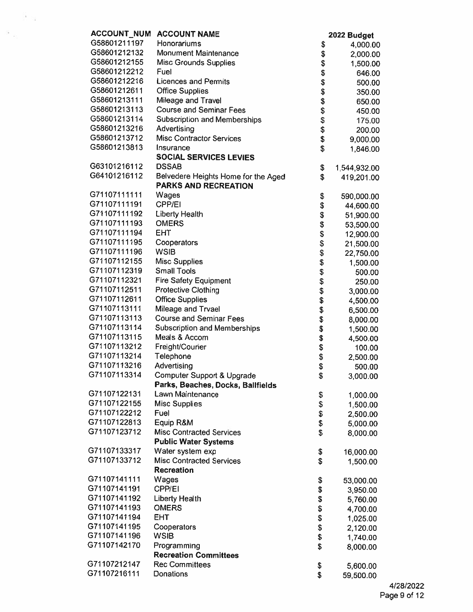| <b>ACCOUNT_NUM</b> | <b>ACCOUNT NAME</b>                                                |                | 2022 Budget  |
|--------------------|--------------------------------------------------------------------|----------------|--------------|
| G58601211197       | Honorariums                                                        | \$             | 4,000.00     |
| G58601212132       | <b>Monument Maintenance</b>                                        | \$             | 2,000.00     |
| G58601212155       | Misc Grounds Supplies                                              | \$             | 1,500.00     |
| G58601212212       | Fuel                                                               | \$             | 646.00       |
| G58601212216       | <b>Licences and Permits</b>                                        | \$             | 500.00       |
| G58601212611       | <b>Office Supplies</b>                                             | \$             | 350.00       |
| G58601213111       | Mileage and Travel                                                 | \$             | 650.00       |
| G58601213113       | <b>Course and Seminar Fees</b>                                     | \$             | 450.00       |
| G58601213114       | <b>Subscription and Memberships</b>                                | \$             | 175.00       |
| G58601213216       | Advertising                                                        | \$             | 200.00       |
| G58601213712       | <b>Misc Contractor Services</b>                                    | \$             | 9,000.00     |
| G58601213813       | Insurance                                                          | \$             | 1,846.00     |
|                    | <b>SOCIAL SERVICES LEVIES</b>                                      |                |              |
| G63101216112       | <b>DSSAB</b>                                                       | \$             | 1,544,932.00 |
| G64101216112       | Belvedere Heights Home for the Aged<br><b>PARKS AND RECREATION</b> | \$             | 419,201.00   |
| G71107111111       | Wages                                                              | \$             | 590,000.00   |
| G71107111191       | CPP/EI                                                             | \$             | 44,600.00    |
| G71107111192       | <b>Liberty Health</b>                                              | \$             | 51,900.00    |
| G71107111193       | <b>OMERS</b>                                                       | \$             | 53,500.00    |
| G71107111194       | <b>EHT</b>                                                         | \$             | 12,900.00    |
| G71107111195       | Cooperators                                                        | \$             | 21,500.00    |
| G71107111196       | WSIB                                                               | \$             | 22,750.00    |
| G71107112155       | <b>Misc Supplies</b>                                               | \$             | 1,500.00     |
| G71107112319       | <b>Small Tools</b>                                                 | \$             | 500.00       |
| G71107112321       | <b>Fire Safety Equipment</b>                                       | \$             | 250.00       |
| G71107112511       | <b>Protective Clothing</b>                                         | \$             | 3,000.00     |
| G71107112611       | <b>Office Supplies</b>                                             | \$             | 4,500.00     |
| G71107113111       | Mileage and Trvael                                                 | \$             | 6,500.00     |
| G71107113113       | <b>Course and Seminar Fees</b>                                     | \$             | 8,000.00     |
| G71107113114       | <b>Subscription and Memberships</b>                                | \$             | 1,500.00     |
| G71107113115       | Meals & Accom                                                      | \$             | 4,500.00     |
| G71107113212       | Freight/Courier                                                    | \$             | 100.00       |
| G71107113214       | Telephone                                                          | \$             | 2,500.00     |
| G71107113216       | Advertising                                                        | \$             | 500.00       |
| G71107113314       | Computer Support & Upgrade                                         | \$             | 3,000.00     |
|                    | Parks, Beaches, Docks, Ballfields                                  |                |              |
| G71107122131       | Lawn Maintenance                                                   | \$             | 1,000.00     |
| G71107122155       | <b>Misc Supplies</b>                                               | \$             | 1,500.00     |
| G71107122212       | Fuel                                                               | \$             | 2,500.00     |
| G71107122813       | Equip R&M                                                          | \$             | 5,000.00     |
| G71107123712       | <b>Misc Contracted Services</b>                                    | \$             | 8,000.00     |
|                    | <b>Public Water Systems</b>                                        |                |              |
| G71107133317       | Water system exp                                                   | \$             | 16,000.00    |
| G71107133712       | <b>Misc Contracted Services</b><br><b>Recreation</b>               | \$             | 1,500.00     |
| G71107141111       | Wages                                                              | \$             | 53,000.00    |
| G71107141191       | CPP/EI                                                             |                | 3,950.00     |
| G71107141192       | <b>Liberty Health</b>                                              |                | 5,760.00     |
| G71107141193       | <b>OMERS</b>                                                       |                | 4,700.00     |
| G71107141194       | <b>EHT</b>                                                         | \$\$\$\$\$\$\$ | 1,025.00     |
| G71107141195       | Cooperators                                                        |                | 2,120.00     |
| G71107141196       | <b>WSIB</b>                                                        |                | 1,740.00     |
| G71107142170       | Programming                                                        | \$             | 8,000.00     |
|                    | <b>Recreation Committees</b>                                       |                |              |
| G71107212147       | <b>Rec Committees</b>                                              | \$             | 5,600.00     |
| G71107216111       | Donations                                                          | \$             | 59,500.00    |
|                    |                                                                    |                |              |

 $\mathcal{F}(\mathcal{F})$ 

 $\sim$   $_{\odot}$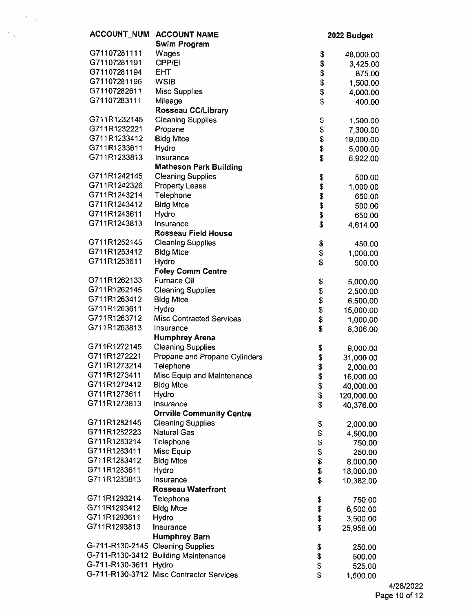| <b>ACCOUNT NUM</b>                | <b>ACCOUNT NAME</b>                      | 2022 Budget        |            |
|-----------------------------------|------------------------------------------|--------------------|------------|
|                                   | <b>Swim Program</b>                      |                    |            |
| G71107281111                      | Wages                                    | \$                 | 48,000.00  |
| G71107281191                      | <b>CPP/EI</b>                            | \$                 | 3,425.00   |
| G71107281194                      | <b>EHT</b>                               |                    | 875.00     |
| G71107281196                      | <b>WSIB</b>                              | \$\$               | 1,500.00   |
| G71107282611                      | <b>Misc Supplies</b>                     |                    | 4,000.00   |
| G71107283111                      | Mileage                                  | \$                 | 400.00     |
|                                   | <b>Rosseau CC/Library</b>                |                    |            |
| G711R1232145                      | <b>Cleaning Supplies</b>                 | \$                 | 1,500.00   |
| G711R1232221                      | Propane                                  | \$                 | 7,300.00   |
| G711R1233412                      | <b>Bldg Mtce</b>                         |                    |            |
| G711R1233611                      | Hydro                                    |                    | 19,000.00  |
| G711R1233813                      | Insurance                                | မှာ <b>မှာ</b> မှာ | 5,000.00   |
|                                   | <b>Matheson Park Building</b>            |                    | 6,922.00   |
| G711R1242145                      | <b>Cleaning Supplies</b>                 |                    |            |
| G711R1242326                      |                                          | \$                 | 500.00     |
| G711R1243214                      | <b>Property Lease</b>                    | \$                 | 1,000.00   |
|                                   | Telephone                                | \$                 | 650.00     |
| G711R1243412                      | <b>Bldg Mtce</b>                         | \$                 | 500.00     |
| G711R1243611                      | Hydro                                    | \$                 | 650.00     |
| G711R1243813                      | Insurance                                | \$                 | 4,614.00   |
|                                   | <b>Rosseau Field House</b>               |                    |            |
| G711R1252145                      | <b>Cleaning Supplies</b>                 | \$                 | 450.00     |
| G711R1253412                      | <b>Bldg Mtce</b>                         | \$                 | 1,000.00   |
| G711R1253611                      | Hydro                                    | \$                 | 500.00     |
|                                   | <b>Foley Comm Centre</b>                 |                    |            |
| G711R1262133                      | Furnace Oil                              | \$                 | 5,000.00   |
| G711R1262145                      | <b>Cleaning Supplies</b>                 | \$                 | 2,500.00   |
| G711R1263412                      | <b>Bldg Mtce</b>                         | \$                 | 6,500.00   |
| G711R1263611                      | Hydro                                    | \$                 | 15,000.00  |
| G711R1263712                      | <b>Misc Contracted Services</b>          | \$                 | 1,000.00   |
| G711R1263813                      | Insurance                                | \$                 | 8,306.00   |
|                                   | <b>Humphrey Arena</b>                    |                    |            |
| G711R1272145                      | <b>Cleaning Supplies</b>                 | \$                 | 9,000.00   |
| G711R1272221                      | Propane and Propane Cylinders            | \$                 | 31,000.00  |
| G711R1273214                      | Telephone                                | \$                 | 2,000.00   |
| G711R1273411                      | Misc Equip and Maintenance               | \$                 | 16,000.00  |
| G711R1273412                      | <b>Bldg Mtce</b>                         | \$                 | 40,000.00  |
| G711R1273611                      | Hydro                                    | \$                 | 120,000.00 |
| G711R1273813                      | Insurance                                | \$                 | 40,376.00  |
|                                   | <b>Orrville Community Centre</b>         |                    |            |
| G711R1282145                      | <b>Cleaning Supplies</b>                 | \$                 | 2,000.00   |
| G711R1282223                      | <b>Natural Gas</b>                       | \$                 | 4,500.00   |
| G711R1283214                      | Telephone                                | \$                 | 750.00     |
| G711R1283411                      | Misc Equip                               | \$                 | 250.00     |
| G711R1283412                      | <b>Bldg Mtce</b>                         | \$                 | 8,000.00   |
| G711R1283611                      | Hydro                                    | \$                 | 18,000.00  |
| G711R1283813                      | Insurance                                | \$                 | 10,382.00  |
|                                   | <b>Rosseau Waterfront</b>                |                    |            |
| G711R1293214                      | Telephone                                | \$                 | 750.00     |
| G711R1293412                      | <b>Bldg Mtce</b>                         | \$                 | 6,500.00   |
| G711R1293611                      | Hydro                                    | \$                 | 3,500.00   |
| G711R1293813                      | Insurance                                | \$                 | 25,958.00  |
|                                   | <b>Humphrey Barn</b>                     |                    |            |
| G-711-R130-2145 Cleaning Supplies |                                          | \$                 | 250.00     |
|                                   | G-711-R130-3412 Building Maintenance     | \$                 | 500.00     |
| G-711-R130-3611                   | Hydro                                    | \$                 | 525.00     |
|                                   | G-711-R130-3712 Misc Contractor Services | \$                 | 1,500.00   |
|                                   |                                          |                    |            |

 $\frac{1}{2}$  and  $\frac{1}{2}$ 

 $\sim$   $_{\odot}$ 

4/28/2022 Page 10 of 12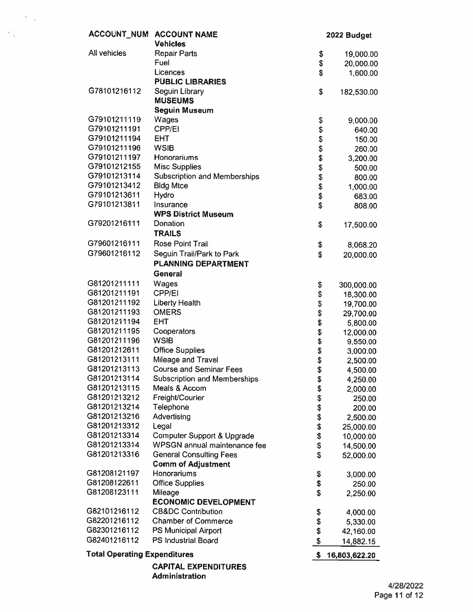| <b>ACCOUNT NUM</b>                  | <b>ACCOUNT NAME</b>                      |                    | 2022 Budget   |
|-------------------------------------|------------------------------------------|--------------------|---------------|
|                                     | <b>Vehicles</b>                          |                    |               |
| All vehicles                        | <b>Repair Parts</b>                      | \$                 | 19,000.00     |
|                                     | Fuel                                     | \$                 | 20,000.00     |
|                                     | Licences                                 | \$                 | 1,600.00      |
|                                     | <b>PUBLIC LIBRARIES</b>                  |                    |               |
| G78101216112                        | Seguin Library                           | \$                 | 182,530.00    |
|                                     | <b>MUSEUMS</b>                           |                    |               |
|                                     | <b>Seguin Museum</b>                     |                    |               |
| G79101211119                        | Wages                                    | \$                 | 9,000.00      |
| G79101211191                        | CPP/EI                                   | \$                 | 640.00        |
| G79101211194                        | <b>EHT</b>                               | \$                 | 150.00        |
| G79101211196                        | <b>WSIB</b>                              | \$                 | 260.00        |
| G79101211197                        | Honorariums                              | \$                 | 3,200.00      |
| G79101212155                        | <b>Misc Supplies</b>                     | \$                 | 500.00        |
| G79101213114                        | <b>Subscription and Memberships</b>      | \$                 | 800.00        |
| G79101213412                        | <b>Bldg Mtce</b>                         | \$                 | 1,000.00      |
| G79101213611                        | Hydro                                    | \$                 | 683.00        |
| G79101213811                        | Insurance                                | \$                 | 808.00        |
|                                     | <b>WPS District Museum</b>               |                    |               |
| G79201216111                        | Donation                                 | \$                 | 17,500.00     |
|                                     | <b>TRAILS</b>                            |                    |               |
| G79601216111                        | Rose Point Trail                         | \$                 | 8,068.20      |
| G79601216112                        | Seguin Trail/Park to Park                | \$                 | 20,000.00     |
|                                     | <b>PLANNING DEPARTMENT</b>               |                    |               |
|                                     | General                                  |                    |               |
| G81201211111                        | Wages                                    | \$                 | 300,000.00    |
| G81201211191                        | CPP/EI                                   | \$                 | 18,300.00     |
| G81201211192                        | <b>Liberty Health</b>                    | <b>a a a a a a</b> | 19,700.00     |
| G81201211193                        | <b>OMERS</b>                             |                    | 29,700.00     |
| G81201211194                        | <b>EHT</b>                               |                    | 5,800.00      |
| G81201211195                        | Cooperators                              |                    | 12,000.00     |
| G81201211196                        | <b>WSIB</b>                              |                    | 9,550.00      |
| G81201212611                        | <b>Office Supplies</b>                   |                    | 3,000.00      |
| G81201213111                        | Mileage and Travel                       |                    | 2,500.00      |
| G81201213113                        | <b>Course and Seminar Fees</b>           | \$                 | 4,500.00      |
| G81201213114                        | <b>Subscription and Memberships</b>      | \$                 | 4,250.00      |
| G81201213115                        | Meals & Accom                            | \$                 | 2,000.00      |
| G81201213212                        | Freight/Courier                          | \$                 | 250.00        |
| G81201213214                        | Telephone                                | \$                 | 200.00        |
| G81201213216                        | Advertising                              | \$                 | 2,500.00      |
| G81201213312                        | Legal                                    | \$                 | 25,000.00     |
| G81201213314                        | Computer Support & Upgrade               | \$                 | 10,000.00     |
| G81201213314<br>G81201213316        | WPSGN annual maintenance fee             | \$                 | 14,500.00     |
|                                     | <b>General Consulting Fees</b>           | \$                 | 52,000.00     |
| G81208121197                        | <b>Comm of Adjustment</b><br>Honorariums |                    |               |
| G81208122611                        | <b>Office Supplies</b>                   | \$                 | 3,000.00      |
| G81208123111                        | Mileage                                  | \$<br>\$           | 250.00        |
|                                     | <b>ECONOMIC DEVELOPMENT</b>              |                    | 2,250.00      |
| G82101216112                        | <b>CB&amp;DC Contribution</b>            |                    |               |
| G82201216112                        | <b>Chamber of Commerce</b>               | \$<br>\$           | 4,000.00      |
| G82301216112                        | <b>PS Municipal Airport</b>              | \$                 | 5,330.00      |
| G82401216112                        | PS Industrial Board                      |                    | 42,160.00     |
|                                     |                                          | \$                 | 14,882.15     |
| <b>Total Operating Expenditures</b> |                                          | $\sqrt{2}$         | 16,803,622.20 |
|                                     | <b>CAPITAL EXPENDITURES</b>              |                    |               |
|                                     | مرح فقد و مقدمة و و أحد ا                |                    |               |

 $\mathcal{L}^{\text{max}}$ 

 $\sim$   $_{\rm L}$ 

Administration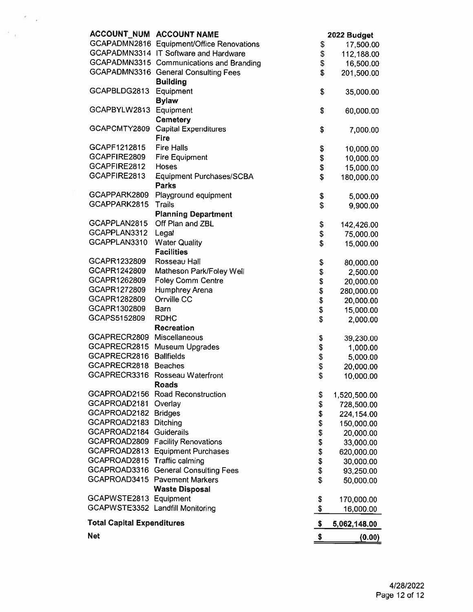|                                   | ACCOUNT_NUM ACCOUNT NAME                  |          | 2022 Budget  |
|-----------------------------------|-------------------------------------------|----------|--------------|
|                                   | GCAPADMN2816 Equipment/Office Renovations | \$       | 17,500.00    |
|                                   | GCAPADMN3314 IT Software and Hardware     | \$       | 112,188.00   |
|                                   | GCAPADMN3315 Communications and Branding  | \$       | 16,500.00    |
|                                   | GCAPADMN3316 General Consulting Fees      | \$       | 201,500.00   |
|                                   | <b>Building</b>                           |          |              |
| GCAPBLDG2813                      | Equipment                                 | \$       | 35,000.00    |
|                                   | <b>Bylaw</b>                              |          |              |
| GCAPBYLW2813                      | Equipment                                 | \$       | 60,000.00    |
|                                   | <b>Cemetery</b>                           |          |              |
| GCAPCMTY2809                      | <b>Capital Expenditures</b>               | \$       | 7,000.00     |
|                                   | <b>Fire</b>                               |          |              |
| GCAPF1212815                      | <b>Fire Halls</b>                         | \$       | 10,000.00    |
| GCAPFIRE2809                      | <b>Fire Equipment</b>                     | \$       | 10,000.00    |
| GCAPFIRE2812                      | Hoses                                     | \$       | 15,000.00    |
| GCAPFIRE2813                      | Equipment Purchases/SCBA                  | \$       | 180,000.00   |
|                                   | <b>Parks</b>                              |          |              |
| GCAPPARK2809                      | Playground equipment                      | \$       | 5,000.00     |
| GCAPPARK2815                      | Trails                                    | \$       | 9,900.00     |
|                                   | <b>Planning Department</b>                |          |              |
| GCAPPLAN2815                      | Off Plan and ZBL                          | \$       | 142,426.00   |
| GCAPPLAN3312                      | Legal                                     | \$       | 75,000.00    |
| GCAPPLAN3310                      | <b>Water Quality</b>                      | \$       | 15,000.00    |
|                                   | <b>Facilities</b>                         |          |              |
| GCAPR1232809                      | Rosseau Hall                              | \$       |              |
| GCAPR1242809                      | Matheson Park/Foley Well                  | \$       | 80,000.00    |
| GCAPR1262809                      | <b>Foley Comm Centre</b>                  | \$       | 2,500.00     |
| GCAPR1272809                      | Humphrey Arena                            |          | 20,000.00    |
| GCAPR1282809                      | Orrville CC                               | \$       | 280,000.00   |
| GCAPR1302809                      | Barn                                      | \$       | 20,000.00    |
| GCAPS5152809                      | <b>RDHC</b>                               | \$<br>\$ | 15,000.00    |
|                                   | <b>Recreation</b>                         |          | 2,000.00     |
| GCAPRECR2809 Miscellaneous        |                                           |          |              |
| GCAPRECR2815                      |                                           | \$       | 39,230.00    |
| GCAPRECR2816                      | Museum Upgrades<br><b>Ballfields</b>      | \$       | 1,000.00     |
| GCAPRECR2818                      | <b>Beaches</b>                            | \$       | 5,000.00     |
| GCAPRECR3316                      |                                           | \$       | 20,000.00    |
|                                   | Rosseau Waterfront                        | \$       | 10,000.00    |
|                                   | <b>Roads</b>                              |          |              |
|                                   | GCAPROAD2156 Road Reconstruction          | \$       | 1,520,500.00 |
| GCAPROAD2181                      | Overlay                                   | \$       | 728,500.00   |
| GCAPROAD2182 Bridges              |                                           | \$       | 224,154.00   |
| GCAPROAD2183 Ditching             |                                           | \$       | 150,000.00   |
| GCAPROAD2184 Guiderails           |                                           | \$       | 20,000.00    |
|                                   | GCAPROAD2809 Facility Renovations         | \$       | 33,000.00    |
|                                   | GCAPROAD2813 Equipment Purchases          | \$       | 620,000.00   |
| GCAPROAD2815 Traffic calming      |                                           | \$       | 30,000.00    |
|                                   | GCAPROAD3316 General Consulting Fees      | \$       | 93,250.00    |
|                                   | GCAPROAD3415 Pavement Markers             | \$       | 50,000.00    |
|                                   | <b>Waste Disposal</b>                     |          |              |
| GCAPWSTE2813 Equipment            |                                           | \$       | 170,000.00   |
| GCAPWSTE3352 Landfill Monitoring  |                                           | \$       | 16,000.00    |
| <b>Total Capital Expenditures</b> |                                           | \$       | 5,062,148.00 |
| <b>Net</b>                        |                                           | \$       | (0.00)       |

 $\mathcal{F}=\mathcal{F}$ 

 $\Omega_{\rm{eff}}$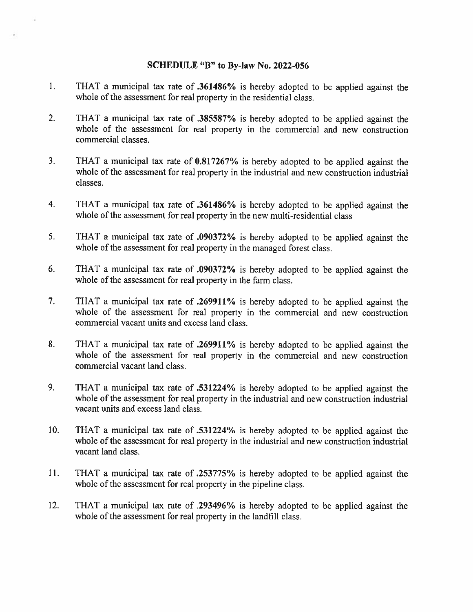### SCHEDULE "B" to By-law No. 2022-056

- 1. THAT <sup>a</sup> municipal tax rate of .361486% is hereby adopted to be applied against the whole of the assessment for real property in the residential class.
- 2. THAT <sup>a</sup> municipal tax rate of .385587% is hereby adopted to he applied against the whole of the assessment for real property in the commercial and new construction commercial classes.
- 3. THAT <sup>a</sup> municipal tax rate of 0.817267% is hereby adopted to he applied against the whole of the assessment for real property in the industrial and new construction industrial classes.
- 4. THAT <sup>a</sup> municipal tax rate of .361486% is hereby adopted to be applied against the whole of the assessment for real property in the new multi-residential class
- 5, THAT <sup>a</sup> municipal tax rate of .090372% is hereby adopted to be applied against the whole of the assessment for real property in the managed forest class.
- 6. THAT <sup>a</sup> municipal tax rate of .090372% is hereby adopted to be applied against the whole of the assessment for real property in the farm class.
- 7. THAT <sup>a</sup> municipal tax rate of .269911% is hereby adopted to he applied against the whole of the assessment for real property in the commercial and new construction commercial vacant units and excess land class.
- 8. THAT <sup>a</sup> municipal tax rate of .269911% is hereby adopted to he applied against the whole of the assessment for real property in the commercial and new construction commercial vacant land class.
- 9. THAT <sup>a</sup> municipal tax rate of .531224% is hereby adopted to be applied against the whole of the assessment for real property in the industrial and new construction industrial vacant units and excess land class.
- 10. THAT <sup>a</sup> municipal tax rate of .531224% is hereby adopted to be applied against the whole of the assessment for real property in the industrial and new construction industrial vacant land class.
- 11. THAT <sup>a</sup> municipal tax rate of .253775% is hereby adopted to he applied against the whole of the assessment for real property in the pipeline class.
- 12. THAT <sup>a</sup> municipal tax rate of .293496% is hereby adopted to he applied against the whole of the assessment for real property in the landfill class.